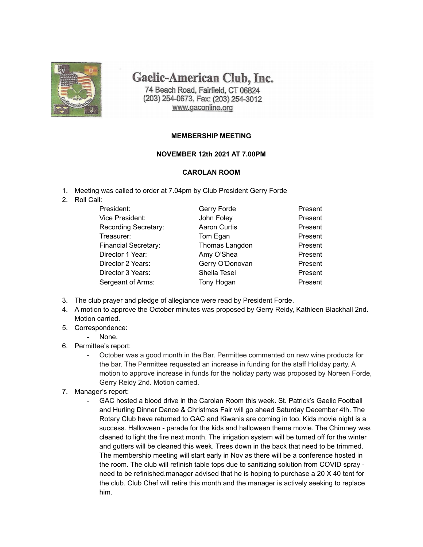

Gaelic-American Club, Inc.

74 Beach Road, Fairfield, CT 06824 (203) 254-0673, Fax: (203) 254-3012 www.gaconline.org

## **MEMBERSHIP MEETING**

## **NOVEMBER 12th 2021 AT 7.00PM**

## **CAROLAN ROOM**

- 1. Meeting was called to order at 7.04pm by Club President Gerry Forde
- 2. Roll Call:

| President:                  | Gerry Forde         | Present |
|-----------------------------|---------------------|---------|
| Vice President:             | John Foley          | Present |
| Recording Secretary:        | <b>Aaron Curtis</b> | Present |
| Treasurer:                  | Tom Egan            | Present |
| <b>Financial Secretary:</b> | Thomas Langdon      | Present |
| Director 1 Year:            | Amy O'Shea          | Present |
| Director 2 Years:           | Gerry O'Donovan     | Present |
| Director 3 Years:           | Sheila Tesei        | Present |
| Sergeant of Arms:           | Tony Hogan          | Present |

- 3. The club prayer and pledge of allegiance were read by President Forde.
- 4. A motion to approve the October minutes was proposed by Gerry Reidy, Kathleen Blackhall 2nd. Motion carried.
- 5. Correspondence:
	- None.
- 6. Permittee's report:
	- October was a good month in the Bar. Permittee commented on new wine products for the bar. The Permittee requested an increase in funding for the staff Holiday party. A motion to approve increase in funds for the holiday party was proposed by Noreen Forde, Gerry Reidy 2nd. Motion carried.
- 7. Manager's report:
	- GAC hosted a blood drive in the Carolan Room this week. St. Patrick's Gaelic Football and Hurling Dinner Dance & Christmas Fair will go ahead Saturday December 4th. The Rotary Club have returned to GAC and Kiwanis are coming in too. Kids movie night is a success. Halloween - parade for the kids and halloween theme movie. The Chimney was cleaned to light the fire next month. The irrigation system will be turned off for the winter and gutters will be cleaned this week. Trees down in the back that need to be trimmed. The membership meeting will start early in Nov as there will be a conference hosted in the room. The club will refinish table tops due to sanitizing solution from COVID spray need to be refinished.manager advised that he is hoping to purchase a 20 X 40 tent for the club. Club Chef will retire this month and the manager is actively seeking to replace him.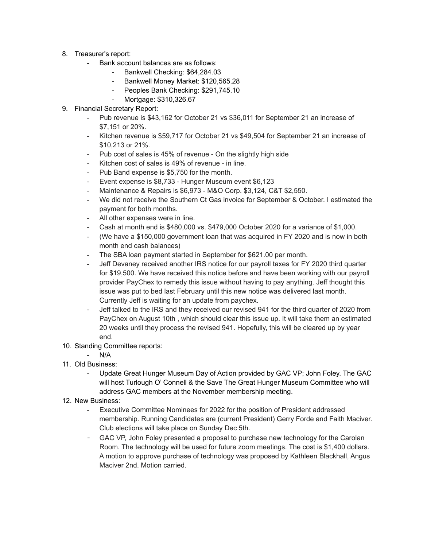- 8. Treasurer's report:
	- Bank account balances are as follows:
		- Bankwell Checking: \$64,284.03
		- Bankwell Money Market: \$120,565.28
		- Peoples Bank Checking: \$291,745.10
		- Mortgage: \$310,326.67
- 9. Financial Secretary Report:
	- Pub revenue is \$43,162 for October 21 vs \$36,011 for September 21 an increase of \$7,151 or 20%.
	- Kitchen revenue is \$59,717 for October 21 vs \$49,504 for September 21 an increase of \$10,213 or 21%.
	- Pub cost of sales is 45% of revenue On the slightly high side
	- Kitchen cost of sales is 49% of revenue in line.
	- Pub Band expense is \$5,750 for the month.
	- Event expense is \$8,733 Hunger Museum event \$6,123
	- Maintenance & Repairs is \$6,973 M&O Corp. \$3,124, C&T \$2,550.
	- We did not receive the Southern Ct Gas invoice for September & October. I estimated the payment for both months.
	- All other expenses were in line.
	- Cash at month end is \$480,000 vs. \$479,000 October 2020 for a variance of \$1,000.
	- (We have a \$150,000 government loan that was acquired in FY 2020 and is now in both month end cash balances)
	- The SBA loan payment started in September for \$621.00 per month.
	- Jeff Devaney received another IRS notice for our payroll taxes for FY 2020 third quarter for \$19,500. We have received this notice before and have been working with our payroll provider PayChex to remedy this issue without having to pay anything. Jeff thought this issue was put to bed last February until this new notice was delivered last month. Currently Jeff is waiting for an update from paychex.
	- Jeff talked to the IRS and they received our revised 941 for the third quarter of 2020 from PayChex on August 10th , which should clear this issue up. It will take them an estimated 20 weeks until they process the revised 941. Hopefully, this will be cleared up by year end.
- 10. Standing Committee reports:
	- N/A
- 11. Old Business:
	- Update Great Hunger Museum Day of Action provided by GAC VP; John Foley. The GAC will host Turlough O' Connell & the Save The Great Hunger Museum Committee who will address GAC members at the November membership meeting.
- 12. New Business:
	- Executive Committee Nominees for 2022 for the position of President addressed membership. Running Candidates are (current President) Gerry Forde and Faith Maciver. Club elections will take place on Sunday Dec 5th.
	- GAC VP, John Foley presented a proposal to purchase new technology for the Carolan Room. The technology will be used for future zoom meetings. The cost is \$1,400 dollars. A motion to approve purchase of technology was proposed by Kathleen Blackhall, Angus Maciver 2nd. Motion carried.